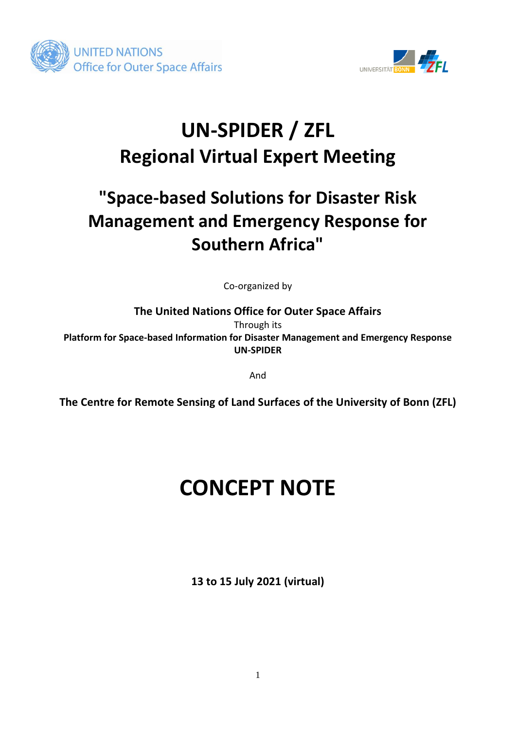



## **UN-SPIDER / ZFL Regional Virtual Expert Meeting**

### **"Space-based Solutions for Disaster Risk Management and Emergency Response for Southern Africa"**

Co-organized by

**The United Nations Office for Outer Space Affairs**  Through its

**Platform for Space-based Information for Disaster Management and Emergency Response UN-SPIDER**

And

**The Centre for Remote Sensing of Land Surfaces of the University of Bonn (ZFL)**

# **CONCEPT NOTE**

**13 to 15 July 2021 (virtual)**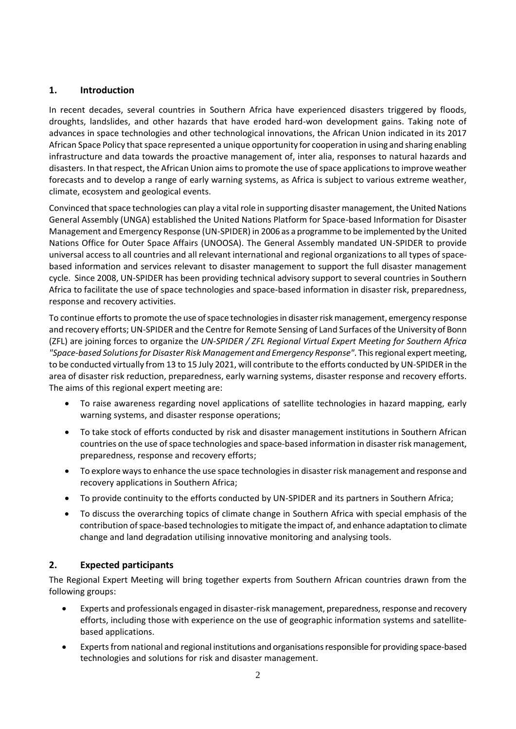#### **1. Introduction**

In recent decades, several countries in Southern Africa have experienced disasters triggered by floods, droughts, landslides, and other hazards that have eroded hard-won development gains. Taking note of advances in space technologies and other technological innovations, the African Union indicated in its 2017 African Space Policy that space represented a unique opportunity for cooperation in using and sharing enabling infrastructure and data towards the proactive management of, inter alia, responses to natural hazards and disasters. In that respect, the African Union aims to promote the use of space applications to improve weather forecasts and to develop a range of early warning systems, as Africa is subject to various extreme weather, climate, ecosystem and geological events.

Convinced that space technologies can play a vital role in supporting disaster management, the United Nations General Assembly (UNGA) established the United Nations Platform for Space-based Information for Disaster Management and Emergency Response (UN-SPIDER) in 2006 as a programme to be implemented by the United Nations Office for Outer Space Affairs (UNOOSA). The General Assembly mandated UN-SPIDER to provide universal access to all countries and all relevant international and regional organizations to all types of spacebased information and services relevant to disaster management to support the full disaster management cycle. Since 2008, UN-SPIDER has been providing technical advisory support to several countries in Southern Africa to facilitate the use of space technologies and space-based information in disaster risk, preparedness, response and recovery activities.

To continue efforts to promote the use of space technologies in disaster riskmanagement, emergency response and recovery efforts; UN-SPIDER and the Centre for Remote Sensing of Land Surfaces of the University of Bonn (ZFL) are joining forces to organize the *UN-SPIDER / ZFL Regional Virtual Expert Meeting for Southern Africa "Space-based Solutions for Disaster Risk Management and Emergency Response"*. Thisregional expert meeting, to be conducted virtually from 13 to 15 July 2021, will contribute to the efforts conducted by UN-SPIDER in the area of disaster risk reduction, preparedness, early warning systems, disaster response and recovery efforts. The aims of this regional expert meeting are:

- To raise awareness regarding novel applications of satellite technologies in hazard mapping, early warning systems, and disaster response operations;
- To take stock of efforts conducted by risk and disaster management institutions in Southern African countries on the use of space technologies and space-based information in disaster risk management, preparedness, response and recovery efforts;
- To explore ways to enhance the use space technologies in disaster risk management and response and recovery applications in Southern Africa;
- To provide continuity to the efforts conducted by UN-SPIDER and its partners in Southern Africa;
- To discuss the overarching topics of climate change in Southern Africa with special emphasis of the contribution of space-based technologies to mitigate the impact of, and enhance adaptation to climate change and land degradation utilising innovative monitoring and analysing tools.

#### **2. Expected participants**

The Regional Expert Meeting will bring together experts from Southern African countries drawn from the following groups:

- Experts and professionals engaged in disaster-risk management, preparedness, response and recovery efforts, including those with experience on the use of geographic information systems and satellitebased applications.
- Expertsfrom national and regional institutions and organisations responsible for providing space-based technologies and solutions for risk and disaster management.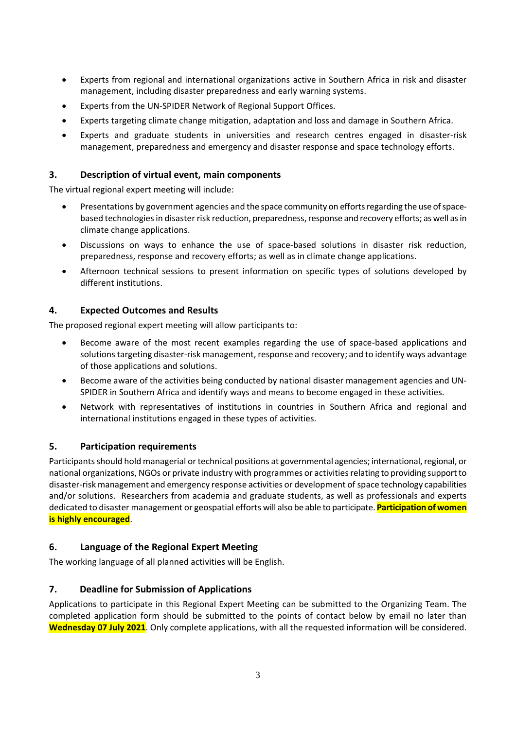- Experts from regional and international organizations active in Southern Africa in risk and disaster management, including disaster preparedness and early warning systems.
- Experts from the UN-SPIDER Network of Regional Support Offices.
- Experts targeting climate change mitigation, adaptation and loss and damage in Southern Africa.
- Experts and graduate students in universities and research centres engaged in disaster-risk management, preparedness and emergency and disaster response and space technology efforts.

#### **3. Description of virtual event, main components**

The virtual regional expert meeting will include:

- Presentations by government agencies and the space community on efforts regarding the use of spacebased technologies in disaster risk reduction, preparedness, response and recovery efforts; as well as in climate change applications.
- Discussions on ways to enhance the use of space-based solutions in disaster risk reduction, preparedness, response and recovery efforts; as well as in climate change applications.
- Afternoon technical sessions to present information on specific types of solutions developed by different institutions.

#### **4. Expected Outcomes and Results**

The proposed regional expert meeting will allow participants to:

- Become aware of the most recent examples regarding the use of space-based applications and solutions targeting disaster-risk management, response and recovery; and to identify ways advantage of those applications and solutions.
- Become aware of the activities being conducted by national disaster management agencies and UN-SPIDER in Southern Africa and identify ways and means to become engaged in these activities.
- Network with representatives of institutions in countries in Southern Africa and regional and international institutions engaged in these types of activities.

#### **5. Participation requirements**

Participants should hold managerial or technical positions at governmental agencies; international, regional, or national organizations, NGOs or private industry with programmes or activities relating to providing support to disaster-risk management and emergency response activities or development of space technology capabilities and/or solutions. Researchers from academia and graduate students, as well as professionals and experts dedicated to disaster management or geospatial efforts will also be able to participate. **Participation of women is highly encouraged**.

#### **6. Language of the Regional Expert Meeting**

The working language of all planned activities will be English.

#### **7. Deadline for Submission of Applications**

Applications to participate in this Regional Expert Meeting can be submitted to the Organizing Team. The completed application form should be submitted to the points of contact below by email no later than **Wednesday 07 July 2021**. Only complete applications, with all the requested information will be considered.